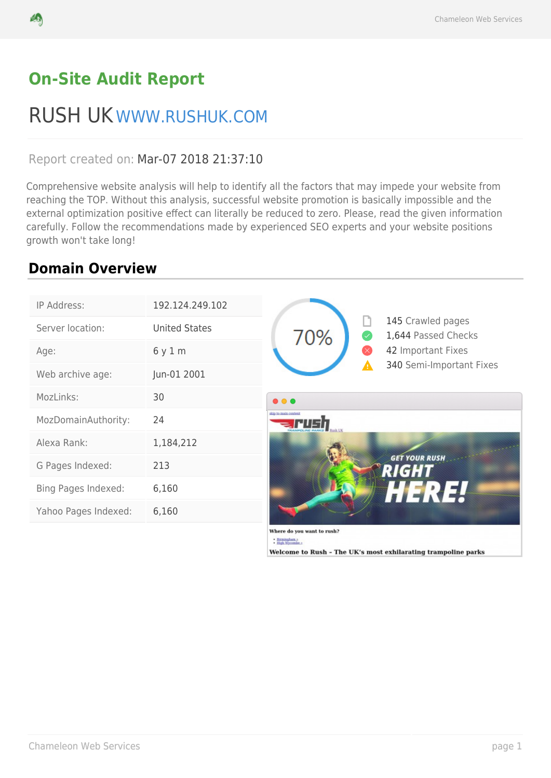# **On-Site Audit Report**

# RUSH UK WWW.RUSHUK.COM

## Report created on: Mar-07 2018 21:37:10

Comprehensive website analysis will help to identify all the factors that may impede your website from reaching the TOP. Without this analysis, successful website promotion is basically impossible and the external optimization positive effect can literally be reduced to zero. Please, read the given information carefully. Follow the recommendations made by experienced SEO experts and your website positions growth won't take long!

# **Domain Overview**

| IP Address:          | 192.124.249.102      |                                                                  |
|----------------------|----------------------|------------------------------------------------------------------|
| Server location:     | <b>United States</b> | 145 Crawled pages<br>70%<br>1,644 Passed Checks                  |
| Age:                 | 6 y 1 m              | 42 Important Fixes                                               |
| Web archive age:     | Jun-01 2001          | 340 Semi-Important Fixes                                         |
| MozLinks:            | 30                   | $\bullet\bullet\bullet$                                          |
| MozDomainAuthority:  | 24                   | skip to reain content                                            |
| Alexa Rank:          | 1,184,212            |                                                                  |
| G Pages Indexed:     | 213                  | <b>GET YOUR RUSH</b><br><b>RIGHT</b>                             |
| Bing Pages Indexed:  | 6,160                | HERE                                                             |
| Yahoo Pages Indexed: | 6,160                |                                                                  |
|                      |                      | Where do you want to rush?<br>- Birmingham +<br>- High Wycombe + |

Welcome to Rush - The UK's most exhilarating trampoline parks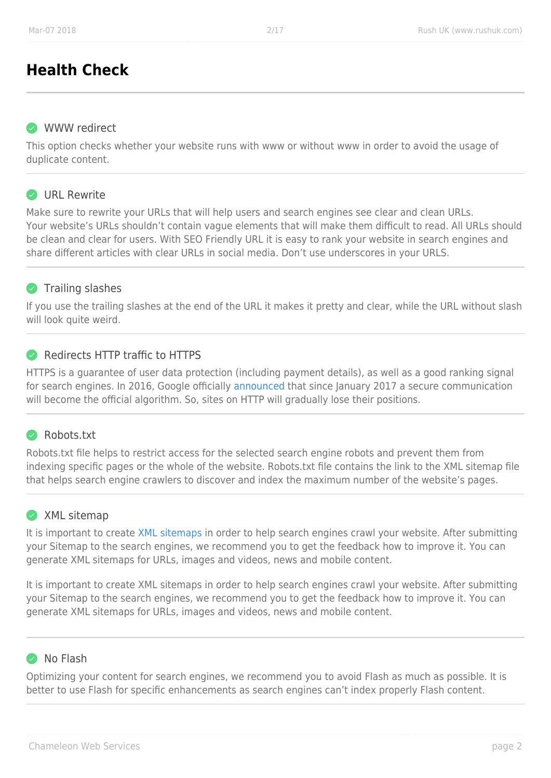# **Health Check**

#### **WWW redirect**

This option checks whether your website runs with www or without www in order to avoid the usage of duplicate content.

#### **O** URL Rewrite

Make sure to rewrite your URLs that will help users and search engines see clear and clean URLs. Your website's URLs shouldn't contain vague elements that will make them difficult to read. All URLs should be clean and clear for users. With SEO Friendly URL it is easy to rank your website in search engines and share different articles with clear URLs in social media. Don't use underscores in your URLS.

## **Trailing slashes**

If you use the trailing slashes at the end of the URL it makes it pretty and clear, while the URL without slash will look quite weird.

## Redirects HTTP traffic to HTTPS

HTTPS is a guarantee of user data protection (including payment details), as well as a good ranking signal for search engines. In 2016, Google officially [announced](https://developers.google.com/web/updates/2016/10/avoid-not-secure-warn) that since January 2017 a secure communication will become the official algorithm. So, sites on HTTP will gradually lose their positions.

## Robots.txt

Robots.txt file helps to restrict access for the selected search engine robots and prevent them from indexing specific pages or the whole of the website. Robots.txt file contains the link to the XML sitemap file that helps search engine crawlers to discover and index the maximum number of the website's pages.

## XML sitemap

It is important to create [XML sitemaps](https://seranking.com/blog/tutorial/the-importance-of-xml-sitemap-do-you-need-to-generate-and-submit-it/) in order to help search engines crawl your website. After submitting your Sitemap to the search engines, we recommend you to get the feedback how to improve it. You can generate XML sitemaps for URLs, images and videos, news and mobile content.

It is important to create XML sitemaps in order to help search engines crawl your website. After submitting your Sitemap to the search engines, we recommend you to get the feedback how to improve it. You can generate XML sitemaps for URLs, images and videos, news and mobile content.

## **O** No Flash

Optimizing your content for search engines, we recommend you to avoid Flash as much as possible. It is better to use Flash for specific enhancements as search engines can't index properly Flash content.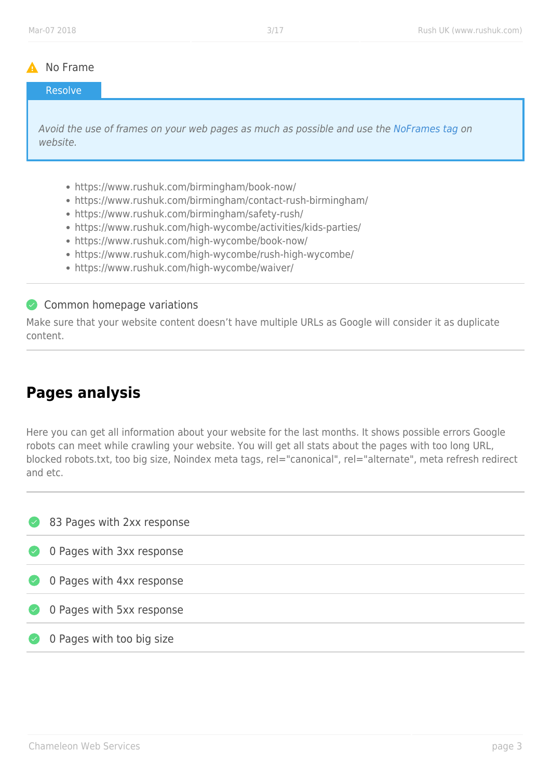#### A No Frame

#### Resolve

Avoid the use of frames on your web pages as much as possible and use the [NoFrames tag](http://www.w3.org/TR/REC-html40/present/frames.html#h-16.4.) on website.

- https://www.rushuk.com/birmingham/book-now/
- https://www.rushuk.com/birmingham/contact-rush-birmingham/
- https://www.rushuk.com/birmingham/safety-rush/
- https://www.rushuk.com/high-wycombe/activities/kids-parties/
- https://www.rushuk.com/high-wycombe/book-now/
- https://www.rushuk.com/high-wycombe/rush-high-wycombe/
- https://www.rushuk.com/high-wycombe/waiver/

#### Common homepage variations

Make sure that your website content doesn't have multiple URLs as Google will consider it as duplicate content.

# **Pages analysis**

Here you can get all information about your website for the last months. It shows possible errors Google robots can meet while crawling your website. You will get all stats about the pages with too long URL, blocked robots.txt, too big size, Noindex meta tags, rel="canonical", rel="alternate", meta refresh redirect and etc.

| $\left( \vee \right)$    | 83 Pages with 2xx response |
|--------------------------|----------------------------|
| $\bullet$                | 0 Pages with 3xx response  |
| $\left( \bigvee \right)$ | 0 Pages with 4xx response  |
| $\left( \vee \right)$    | 0 Pages with 5xx response  |
| $(\checkmark)$           | 0 Pages with too big size  |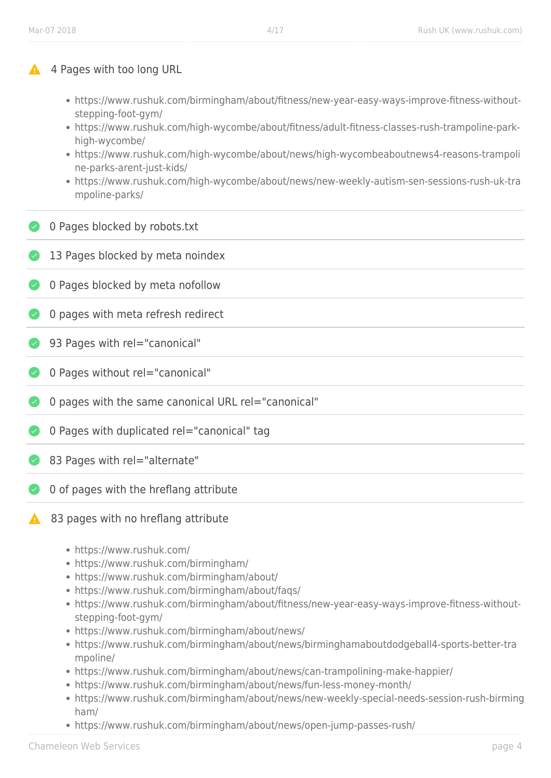#### 4 Pages with too long URL

- https://www.rushuk.com/birmingham/about/fitness/new-year-easy-ways-improve-fitness-withoutstepping-foot-gym/
- https://www.rushuk.com/high-wycombe/about/fitness/adult-fitness-classes-rush-trampoline-parkhigh-wycombe/
- https://www.rushuk.com/high-wycombe/about/news/high-wycombeaboutnews4-reasons-trampoli ne-parks-arent-just-kids/
- https://www.rushuk.com/high-wycombe/about/news/new-weekly-autism-sen-sessions-rush-uk-tra mpoline-parks/
- **O** Pages blocked by robots.txt
- 13 Pages blocked by meta noindex
- **O** Pages blocked by meta nofollow
- 0 pages with meta refresh redirect
- ◆ 93 Pages with rel="canonical"
- ◆ 0 Pages without rel="canonical"
- 0 pages with the same canonical URL rel="canonical"
- **1** O Pages with duplicated rel="canonical" tag
- 83 Pages with rel="alternate"
- O of pages with the hreflang attribute
- 83 pages with no hreflang attribute
	- https://www.rushuk.com/
	- https://www.rushuk.com/birmingham/
	- https://www.rushuk.com/birmingham/about/
	- https://www.rushuk.com/birmingham/about/faqs/
	- https://www.rushuk.com/birmingham/about/fitness/new-year-easy-ways-improve-fitness-withoutstepping-foot-gym/
	- https://www.rushuk.com/birmingham/about/news/
	- https://www.rushuk.com/birmingham/about/news/birminghamaboutdodgeball4-sports-better-tra mpoline/
	- https://www.rushuk.com/birmingham/about/news/can-trampolining-make-happier/
	- https://www.rushuk.com/birmingham/about/news/fun-less-money-month/
	- https://www.rushuk.com/birmingham/about/news/new-weekly-special-needs-session-rush-birming ham/
	- https://www.rushuk.com/birmingham/about/news/open-jump-passes-rush/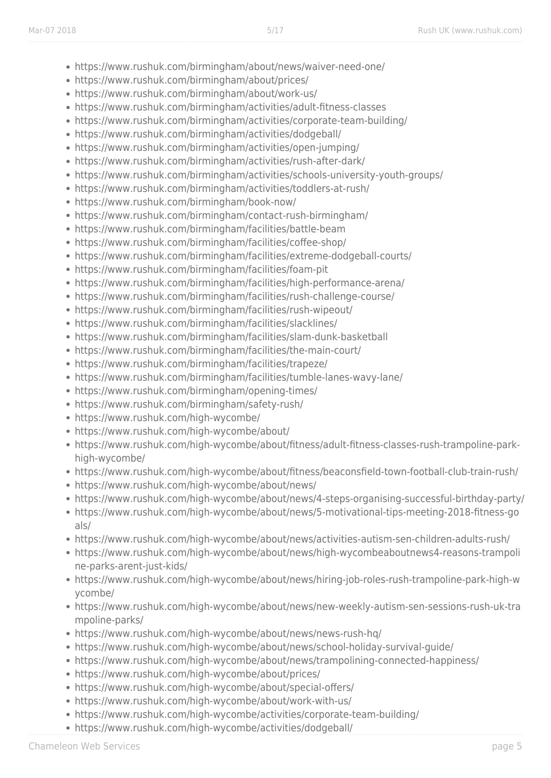- https://www.rushuk.com/birmingham/about/news/waiver-need-one/
- https://www.rushuk.com/birmingham/about/prices/
- https://www.rushuk.com/birmingham/about/work-us/
- https://www.rushuk.com/birmingham/activities/adult-fitness-classes
- https://www.rushuk.com/birmingham/activities/corporate-team-building/
- https://www.rushuk.com/birmingham/activities/dodgeball/
- https://www.rushuk.com/birmingham/activities/open-jumping/
- https://www.rushuk.com/birmingham/activities/rush-after-dark/
- https://www.rushuk.com/birmingham/activities/schools-university-youth-groups/
- https://www.rushuk.com/birmingham/activities/toddlers-at-rush/
- https://www.rushuk.com/birmingham/book-now/
- https://www.rushuk.com/birmingham/contact-rush-birmingham/
- https://www.rushuk.com/birmingham/facilities/battle-beam
- https://www.rushuk.com/birmingham/facilities/coffee-shop/
- https://www.rushuk.com/birmingham/facilities/extreme-dodgeball-courts/
- https://www.rushuk.com/birmingham/facilities/foam-pit
- https://www.rushuk.com/birmingham/facilities/high-performance-arena/
- https://www.rushuk.com/birmingham/facilities/rush-challenge-course/
- https://www.rushuk.com/birmingham/facilities/rush-wipeout/
- https://www.rushuk.com/birmingham/facilities/slacklines/
- https://www.rushuk.com/birmingham/facilities/slam-dunk-basketball
- https://www.rushuk.com/birmingham/facilities/the-main-court/
- https://www.rushuk.com/birmingham/facilities/trapeze/
- https://www.rushuk.com/birmingham/facilities/tumble-lanes-wavy-lane/
- https://www.rushuk.com/birmingham/opening-times/
- https://www.rushuk.com/birmingham/safety-rush/
- https://www.rushuk.com/high-wycombe/
- https://www.rushuk.com/high-wycombe/about/
- https://www.rushuk.com/high-wycombe/about/fitness/adult-fitness-classes-rush-trampoline-parkhigh-wycombe/
- https://www.rushuk.com/high-wycombe/about/fitness/beaconsfield-town-football-club-train-rush/
- https://www.rushuk.com/high-wycombe/about/news/
- https://www.rushuk.com/high-wycombe/about/news/4-steps-organising-successful-birthday-party/
- https://www.rushuk.com/high-wycombe/about/news/5-motivational-tips-meeting-2018-fitness-go als/
- https://www.rushuk.com/high-wycombe/about/news/activities-autism-sen-children-adults-rush/
- https://www.rushuk.com/high-wycombe/about/news/high-wycombeaboutnews4-reasons-trampoli ne-parks-arent-just-kids/
- https://www.rushuk.com/high-wycombe/about/news/hiring-job-roles-rush-trampoline-park-high-w ycombe/
- https://www.rushuk.com/high-wycombe/about/news/new-weekly-autism-sen-sessions-rush-uk-tra mpoline-parks/
- https://www.rushuk.com/high-wycombe/about/news/news-rush-hq/
- https://www.rushuk.com/high-wycombe/about/news/school-holiday-survival-guide/
- https://www.rushuk.com/high-wycombe/about/news/trampolining-connected-happiness/
- https://www.rushuk.com/high-wycombe/about/prices/
- https://www.rushuk.com/high-wycombe/about/special-offers/
- https://www.rushuk.com/high-wycombe/about/work-with-us/
- https://www.rushuk.com/high-wycombe/activities/corporate-team-building/
- https://www.rushuk.com/high-wycombe/activities/dodgeball/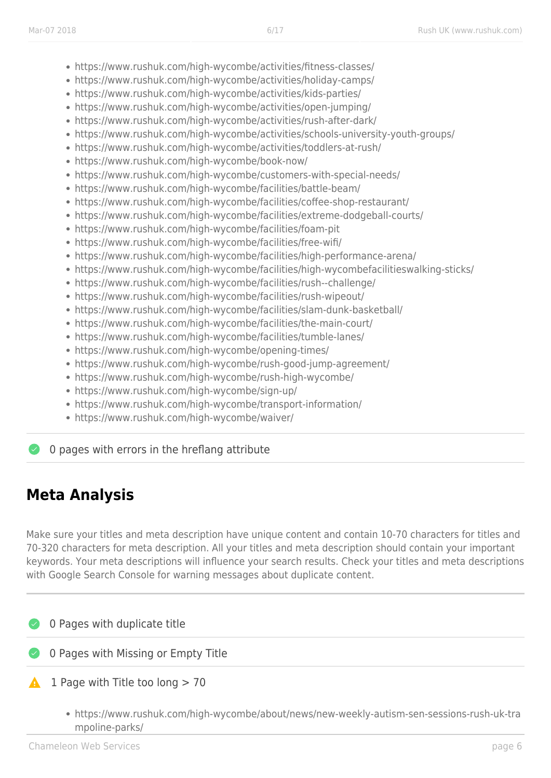- https://www.rushuk.com/high-wycombe/activities/fitness-classes/
- https://www.rushuk.com/high-wycombe/activities/holiday-camps/
- https://www.rushuk.com/high-wycombe/activities/kids-parties/
- https://www.rushuk.com/high-wycombe/activities/open-jumping/
- https://www.rushuk.com/high-wycombe/activities/rush-after-dark/
- https://www.rushuk.com/high-wycombe/activities/schools-university-youth-groups/
- https://www.rushuk.com/high-wycombe/activities/toddlers-at-rush/
- https://www.rushuk.com/high-wycombe/book-now/
- https://www.rushuk.com/high-wycombe/customers-with-special-needs/
- https://www.rushuk.com/high-wycombe/facilities/battle-beam/
- https://www.rushuk.com/high-wycombe/facilities/coffee-shop-restaurant/
- https://www.rushuk.com/high-wycombe/facilities/extreme-dodgeball-courts/
- https://www.rushuk.com/high-wycombe/facilities/foam-pit
- https://www.rushuk.com/high-wycombe/facilities/free-wifi/
- https://www.rushuk.com/high-wycombe/facilities/high-performance-arena/
- https://www.rushuk.com/high-wycombe/facilities/high-wycombefacilitieswalking-sticks/
- https://www.rushuk.com/high-wycombe/facilities/rush--challenge/
- https://www.rushuk.com/high-wycombe/facilities/rush-wipeout/
- https://www.rushuk.com/high-wycombe/facilities/slam-dunk-basketball/
- https://www.rushuk.com/high-wycombe/facilities/the-main-court/
- https://www.rushuk.com/high-wycombe/facilities/tumble-lanes/
- https://www.rushuk.com/high-wycombe/opening-times/
- https://www.rushuk.com/high-wycombe/rush-good-jump-agreement/
- https://www.rushuk.com/high-wycombe/rush-high-wycombe/
- https://www.rushuk.com/high-wycombe/sign-up/
- https://www.rushuk.com/high-wycombe/transport-information/
- https://www.rushuk.com/high-wycombe/waiver/

O pages with errors in the hreflang attribute

# **Meta Analysis**

Make sure your titles and meta description have unique content and contain 10-70 characters for titles and 70-320 characters for meta description. All your titles and meta description should contain your important keywords. Your meta descriptions will influence your search results. Check your titles and meta descriptions with Google Search Console for warning messages about duplicate content.

#### 0 Pages with duplicate title

## **8 O Pages with Missing or Empty Title**

- $1$  Page with Title too long  $> 70$ 
	- https://www.rushuk.com/high-wycombe/about/news/new-weekly-autism-sen-sessions-rush-uk-tra mpoline-parks/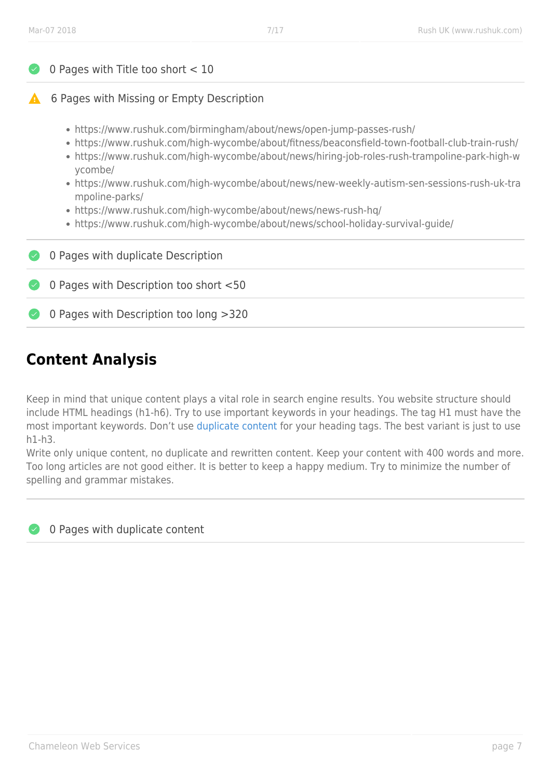| 0 Pages with Title too short $<$ 10                                                                                                                                                                                                                                                                                                                                                                   |  |  |
|-------------------------------------------------------------------------------------------------------------------------------------------------------------------------------------------------------------------------------------------------------------------------------------------------------------------------------------------------------------------------------------------------------|--|--|
| 6 Pages with Missing or Empty Description                                                                                                                                                                                                                                                                                                                                                             |  |  |
| • https://www.rushuk.com/birmingham/about/news/open-jump-passes-rush/<br>• https://www.rushuk.com/high-wycombe/about/fitness/beaconsfield-town-football-club-train-rush/<br>• https://www.rushuk.com/high-wycombe/about/news/hiring-job-roles-rush-trampoline-park-high-w<br>ycombe/<br>• https://www.rushuk.com/high-wycombe/about/news/new-weekly-autism-sen-sessions-rush-uk-tra<br>mpoline-parks/ |  |  |
| • https://www.rushuk.com/high-wycombe/about/news/news-rush-hq/<br>• https://www.rushuk.com/high-wycombe/about/news/school-holiday-survival-guide/                                                                                                                                                                                                                                                     |  |  |
| 0 Pages with duplicate Description                                                                                                                                                                                                                                                                                                                                                                    |  |  |
| 0 Pages with Description too short <50                                                                                                                                                                                                                                                                                                                                                                |  |  |
| 0 Pages with Description too long >320                                                                                                                                                                                                                                                                                                                                                                |  |  |
|                                                                                                                                                                                                                                                                                                                                                                                                       |  |  |

# **Content Analysis**

Keep in mind that unique content plays a vital role in search engine results. You website structure should include HTML headings (h1-h6). Try to use important keywords in your headings. The tag H1 must have the most important keywords. Don't use [duplicate content](https://support.google.com/webmasters/answer/66359?hl=en) for your heading tags. The best variant is just to use h1-h3.

Write only unique content, no duplicate and rewritten content. Keep your content with 400 words and more. Too long articles are not good either. It is better to keep a happy medium. Try to minimize the number of spelling and grammar mistakes.

O Pages with duplicate content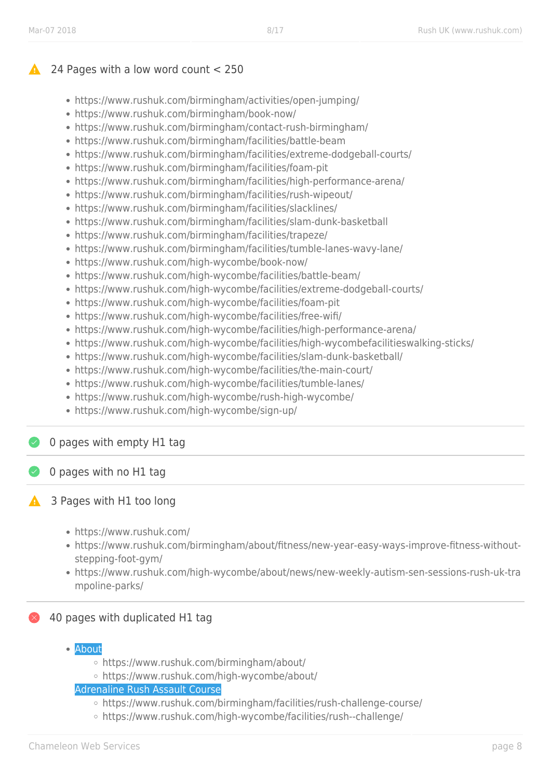## 24 Pages with a low word count < 250

- https://www.rushuk.com/birmingham/activities/open-jumping/
- https://www.rushuk.com/birmingham/book-now/
- https://www.rushuk.com/birmingham/contact-rush-birmingham/
- https://www.rushuk.com/birmingham/facilities/battle-beam
- https://www.rushuk.com/birmingham/facilities/extreme-dodgeball-courts/
- https://www.rushuk.com/birmingham/facilities/foam-pit
- https://www.rushuk.com/birmingham/facilities/high-performance-arena/
- https://www.rushuk.com/birmingham/facilities/rush-wipeout/
- https://www.rushuk.com/birmingham/facilities/slacklines/
- https://www.rushuk.com/birmingham/facilities/slam-dunk-basketball
- https://www.rushuk.com/birmingham/facilities/trapeze/
- https://www.rushuk.com/birmingham/facilities/tumble-lanes-wavy-lane/
- https://www.rushuk.com/high-wycombe/book-now/
- https://www.rushuk.com/high-wycombe/facilities/battle-beam/
- https://www.rushuk.com/high-wycombe/facilities/extreme-dodgeball-courts/
- https://www.rushuk.com/high-wycombe/facilities/foam-pit
- https://www.rushuk.com/high-wycombe/facilities/free-wifi/
- https://www.rushuk.com/high-wycombe/facilities/high-performance-arena/
- https://www.rushuk.com/high-wycombe/facilities/high-wycombefacilitieswalking-sticks/
- https://www.rushuk.com/high-wycombe/facilities/slam-dunk-basketball/
- https://www.rushuk.com/high-wycombe/facilities/the-main-court/
- https://www.rushuk.com/high-wycombe/facilities/tumble-lanes/
- https://www.rushuk.com/high-wycombe/rush-high-wycombe/
- https://www.rushuk.com/high-wycombe/sign-up/

## 0 pages with empty H1 tag

## 0 pages with no H1 tag

## **4** 3 Pages with H1 too long

- https://www.rushuk.com/
- https://www.rushuk.com/birmingham/about/fitness/new-year-easy-ways-improve-fitness-withoutstepping-foot-gym/
- https://www.rushuk.com/high-wycombe/about/news/new-weekly-autism-sen-sessions-rush-uk-tra mpoline-parks/

## 40 pages with duplicated H1 tag

- About
	- https://www.rushuk.com/birmingham/about/
	- https://www.rushuk.com/high-wycombe/about/

Adrenaline Rush Assault Course

- https://www.rushuk.com/birmingham/facilities/rush-challenge-course/
- o https://www.rushuk.com/high-wycombe/facilities/rush--challenge/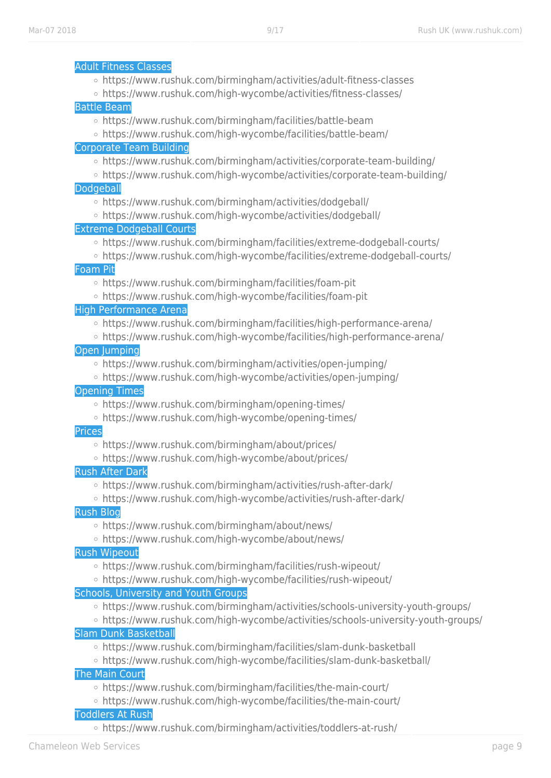|               | <b>Adult Fitness Classes</b>                                                                                     |
|---------------|------------------------------------------------------------------------------------------------------------------|
|               | ○ https://www.rushuk.com/birmingham/activities/adult-fitness-classes                                             |
|               | ○ https://www.rushuk.com/high-wycombe/activities/fitness-classes/                                                |
|               | <b>Battle Beam</b>                                                                                               |
|               | ○ https://www.rushuk.com/birmingham/facilities/battle-beam                                                       |
|               | ○ https://www.rushuk.com/high-wycombe/facilities/battle-beam/                                                    |
|               | <b>Corporate Team Building</b>                                                                                   |
|               | ○ https://www.rushuk.com/birmingham/activities/corporate-team-building/                                          |
|               | ○ https://www.rushuk.com/high-wycombe/activities/corporate-team-building/                                        |
|               | Dodgeball                                                                                                        |
|               | ○ https://www.rushuk.com/birmingham/activities/dodgeball/                                                        |
|               | ○ https://www.rushuk.com/high-wycombe/activities/dodgeball/                                                      |
|               | <b>Extreme Dodgeball Courts</b>                                                                                  |
|               | o https://www.rushuk.com/birmingham/facilities/extreme-dodgeball-courts/                                         |
|               | ○ https://www.rushuk.com/high-wycombe/facilities/extreme-dodgeball-courts/                                       |
|               | <b>Foam Pit</b>                                                                                                  |
|               | ○ https://www.rushuk.com/birmingham/facilities/foam-pit                                                          |
|               | ○ https://www.rushuk.com/high-wycombe/facilities/foam-pit                                                        |
|               | <b>High Performance Arena</b><br>○ https://www.rushuk.com/birmingham/facilities/high-performance-arena/          |
|               | ○ https://www.rushuk.com/high-wycombe/facilities/high-performance-arena/                                         |
|               | <b>Open Jumping</b>                                                                                              |
|               | ○ https://www.rushuk.com/birmingham/activities/open-jumping/                                                     |
|               | ○ https://www.rushuk.com/high-wycombe/activities/open-jumping/                                                   |
|               | <b>Opening Times</b>                                                                                             |
|               | ○ https://www.rushuk.com/birmingham/opening-times/                                                               |
|               | ○ https://www.rushuk.com/high-wycombe/opening-times/                                                             |
| <b>Prices</b> |                                                                                                                  |
|               | ○ https://www.rushuk.com/birmingham/about/prices/                                                                |
|               | ○ https://www.rushuk.com/high-wycombe/about/prices/                                                              |
|               | <b>Rush After Dark</b>                                                                                           |
|               | ○ https://www.rushuk.com/birmingham/activities/rush-after-dark/                                                  |
|               | ○ https://www.rushuk.com/high-wycombe/activities/rush-after-dark/                                                |
|               | <b>Rush Blog</b>                                                                                                 |
|               | ○ https://www.rushuk.com/birmingham/about/news/                                                                  |
|               | ○ https://www.rushuk.com/high-wycombe/about/news/                                                                |
|               | <b>Rush Wipeout</b>                                                                                              |
|               | ○ https://www.rushuk.com/birmingham/facilities/rush-wipeout/                                                     |
|               | ○ https://www.rushuk.com/high-wycombe/facilities/rush-wipeout/                                                   |
|               | <b>Schools, University and Youth Groups</b>                                                                      |
|               | ○ https://www.rushuk.com/birmingham/activities/schools-university-youth-groups/                                  |
|               | o https://www.rushuk.com/high-wycombe/activities/schools-university-youth-groups/<br><b>Slam Dunk Basketball</b> |
|               | ○ https://www.rushuk.com/birmingham/facilities/slam-dunk-basketball                                              |
|               | ○ https://www.rushuk.com/high-wycombe/facilities/slam-dunk-basketball/                                           |
|               | <b>The Main Court</b>                                                                                            |
|               | ○ https://www.rushuk.com/birmingham/facilities/the-main-court/                                                   |
|               | ○ https://www.rushuk.com/high-wycombe/facilities/the-main-court/                                                 |
|               | <b>Toddlers At Rush</b>                                                                                          |
|               |                                                                                                                  |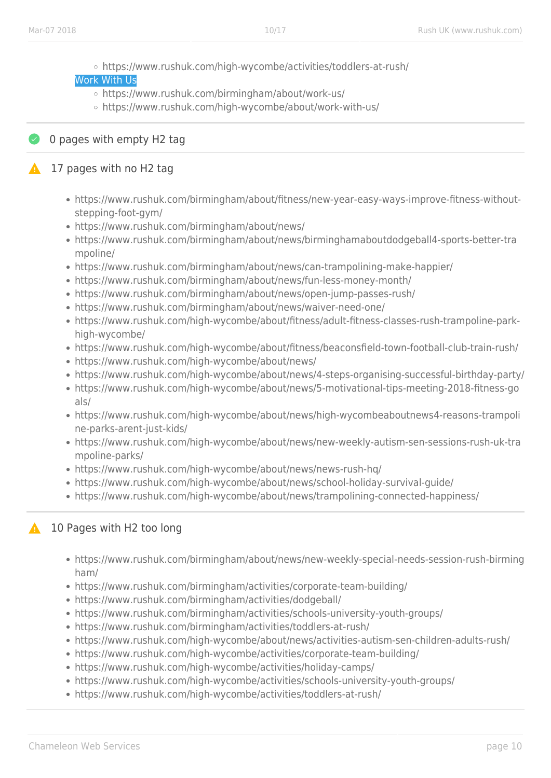- https://www.rushuk.com/high-wycombe/activities/toddlers-at-rush/
- Work With Us
	- https://www.rushuk.com/birmingham/about/work-us/
	- o https://www.rushuk.com/high-wycombe/about/work-with-us/

## ◆ 0 pages with empty H2 tag

## 17 pages with no H2 tag

- https://www.rushuk.com/birmingham/about/fitness/new-year-easy-ways-improve-fitness-withoutstepping-foot-gym/
- https://www.rushuk.com/birmingham/about/news/
- https://www.rushuk.com/birmingham/about/news/birminghamaboutdodgeball4-sports-better-tra mpoline/
- https://www.rushuk.com/birmingham/about/news/can-trampolining-make-happier/
- https://www.rushuk.com/birmingham/about/news/fun-less-money-month/
- https://www.rushuk.com/birmingham/about/news/open-jump-passes-rush/
- https://www.rushuk.com/birmingham/about/news/waiver-need-one/
- https://www.rushuk.com/high-wycombe/about/fitness/adult-fitness-classes-rush-trampoline-parkhigh-wycombe/
- https://www.rushuk.com/high-wycombe/about/fitness/beaconsfield-town-football-club-train-rush/
- https://www.rushuk.com/high-wycombe/about/news/
- https://www.rushuk.com/high-wycombe/about/news/4-steps-organising-successful-birthday-party/
- https://www.rushuk.com/high-wycombe/about/news/5-motivational-tips-meeting-2018-fitness-go als/
- https://www.rushuk.com/high-wycombe/about/news/high-wycombeaboutnews4-reasons-trampoli ne-parks-arent-just-kids/
- https://www.rushuk.com/high-wycombe/about/news/new-weekly-autism-sen-sessions-rush-uk-tra mpoline-parks/
- https://www.rushuk.com/high-wycombe/about/news/news-rush-hq/
- https://www.rushuk.com/high-wycombe/about/news/school-holiday-survival-guide/
- https://www.rushuk.com/high-wycombe/about/news/trampolining-connected-happiness/

## **10 Pages with H2 too long**

- https://www.rushuk.com/birmingham/about/news/new-weekly-special-needs-session-rush-birming ham/
- https://www.rushuk.com/birmingham/activities/corporate-team-building/
- https://www.rushuk.com/birmingham/activities/dodgeball/
- https://www.rushuk.com/birmingham/activities/schools-university-youth-groups/
- https://www.rushuk.com/birmingham/activities/toddlers-at-rush/
- https://www.rushuk.com/high-wycombe/about/news/activities-autism-sen-children-adults-rush/
- https://www.rushuk.com/high-wycombe/activities/corporate-team-building/
- https://www.rushuk.com/high-wycombe/activities/holiday-camps/
- https://www.rushuk.com/high-wycombe/activities/schools-university-youth-groups/
- https://www.rushuk.com/high-wycombe/activities/toddlers-at-rush/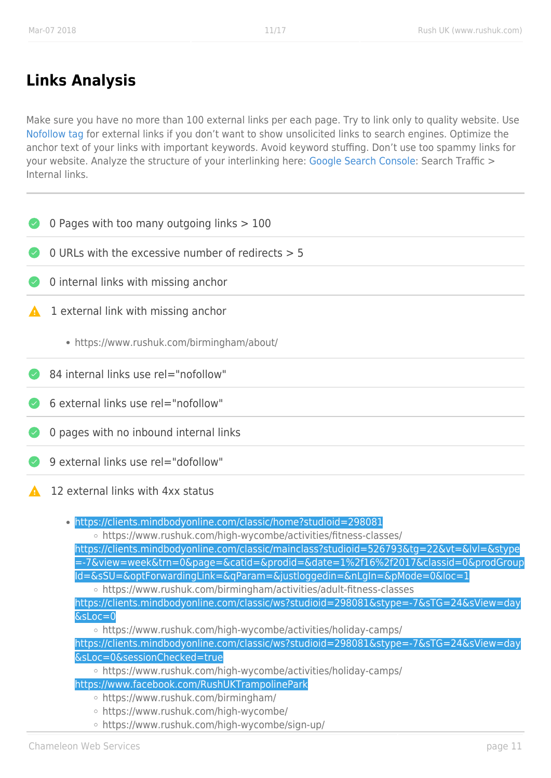# **Links Analysis**

Make sure you have no more than 100 external links per each page. Try to link only to quality website. Use [Nofollow tag](https://support.google.com/webmasters/answer/96569?hl=en) for external links if you don't want to show unsolicited links to search engines. Optimize the anchor text of your links with important keywords. Avoid keyword stuffing. Don't use too spammy links for your website. Analyze the structure of your interlinking here: [Google Search Console:](https://www.google.com/webmasters/tools) Search Traffic > Internal links.

|   | 0 Pages with too many outgoing links > 100                                                                                                                                                                                                                                                                                                                                                                                                                                                                                                                                                                                                                                                                                                                                                                                                                                                                                                                                                                                            |
|---|---------------------------------------------------------------------------------------------------------------------------------------------------------------------------------------------------------------------------------------------------------------------------------------------------------------------------------------------------------------------------------------------------------------------------------------------------------------------------------------------------------------------------------------------------------------------------------------------------------------------------------------------------------------------------------------------------------------------------------------------------------------------------------------------------------------------------------------------------------------------------------------------------------------------------------------------------------------------------------------------------------------------------------------|
|   | 0 URLs with the excessive number of redirects $> 5$                                                                                                                                                                                                                                                                                                                                                                                                                                                                                                                                                                                                                                                                                                                                                                                                                                                                                                                                                                                   |
|   | 0 internal links with missing anchor                                                                                                                                                                                                                                                                                                                                                                                                                                                                                                                                                                                                                                                                                                                                                                                                                                                                                                                                                                                                  |
| A | 1 external link with missing anchor                                                                                                                                                                                                                                                                                                                                                                                                                                                                                                                                                                                                                                                                                                                                                                                                                                                                                                                                                                                                   |
|   | • https://www.rushuk.com/birmingham/about/                                                                                                                                                                                                                                                                                                                                                                                                                                                                                                                                                                                                                                                                                                                                                                                                                                                                                                                                                                                            |
|   | 84 internal links use rel="nofollow"                                                                                                                                                                                                                                                                                                                                                                                                                                                                                                                                                                                                                                                                                                                                                                                                                                                                                                                                                                                                  |
|   | 6 external links use rel="nofollow"                                                                                                                                                                                                                                                                                                                                                                                                                                                                                                                                                                                                                                                                                                                                                                                                                                                                                                                                                                                                   |
|   | 0 pages with no inbound internal links                                                                                                                                                                                                                                                                                                                                                                                                                                                                                                                                                                                                                                                                                                                                                                                                                                                                                                                                                                                                |
|   | 9 external links use rel="dofollow"                                                                                                                                                                                                                                                                                                                                                                                                                                                                                                                                                                                                                                                                                                                                                                                                                                                                                                                                                                                                   |
|   | 12 external links with 4xx status                                                                                                                                                                                                                                                                                                                                                                                                                                                                                                                                                                                                                                                                                                                                                                                                                                                                                                                                                                                                     |
|   | . https://clients.mindbodyonline.com/classic/home?studioid=298081<br>○ https://www.rushuk.com/high-wycombe/activities/fitness-classes/<br>https://clients.mindbodyonline.com/classic/mainclass?studioid=526793&tg=22&vt=&lvl=&stype<br>=-7&view=week&trn=0&page=&catid=&prodid=&date=1%2f16%2f2017&classid=0&prodGroup<br>Id=&sSU=&optForwardingLink=&qParam=&justloggedin=&nLgIn=&pMode=0&loc=1<br>○ https://www.rushuk.com/birmingham/activities/adult-fitness-classes<br>https://clients.mindbodyonline.com/classic/ws?studioid=298081&stype=-7&sTG=24&sView=day<br>$&sLoc=0$<br>○ https://www.rushuk.com/high-wycombe/activities/holiday-camps/<br>https://clients.mindbodyonline.com/classic/ws?studioid=298081&stype=-7&sTG=24&sView=day<br>&sLoc=0&sessionChecked=true<br>○ https://www.rushuk.com/high-wycombe/activities/holiday-camps/<br>https://www.facebook.com/RushUKTrampolinePark<br>○ https://www.rushuk.com/birmingham/<br>○ https://www.rushuk.com/high-wycombe/<br>○ https://www.rushuk.com/high-wycombe/sign-up/ |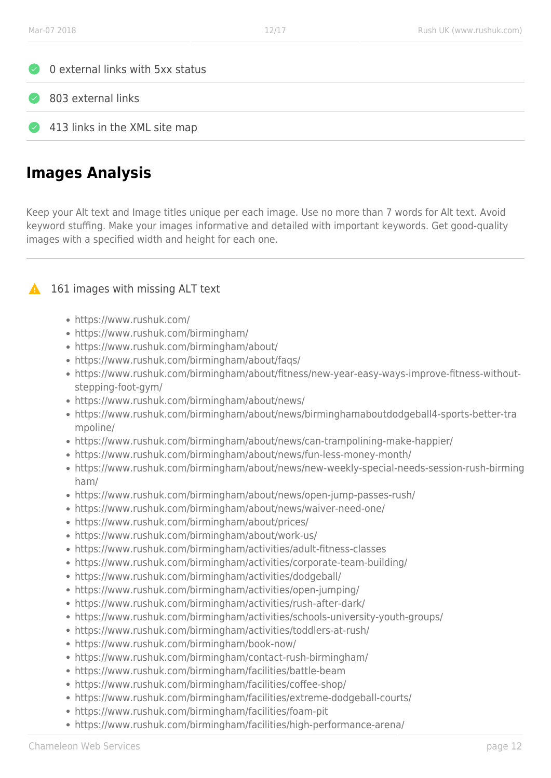



413 links in the XML site map

# **Images Analysis**

Keep your Alt text and Image titles unique per each image. Use no more than 7 words for Alt text. Avoid keyword stuffing. Make your images informative and detailed with important keywords. Get good-quality images with a specified width and height for each one.

## **161 images with missing ALT text**

- https://www.rushuk.com/
- https://www.rushuk.com/birmingham/
- https://www.rushuk.com/birmingham/about/
- https://www.rushuk.com/birmingham/about/faqs/
- https://www.rushuk.com/birmingham/about/fitness/new-year-easy-ways-improve-fitness-withoutstepping-foot-gym/
- https://www.rushuk.com/birmingham/about/news/
- https://www.rushuk.com/birmingham/about/news/birminghamaboutdodgeball4-sports-better-tra mpoline/
- https://www.rushuk.com/birmingham/about/news/can-trampolining-make-happier/
- https://www.rushuk.com/birmingham/about/news/fun-less-money-month/
- https://www.rushuk.com/birmingham/about/news/new-weekly-special-needs-session-rush-birming ham/
- https://www.rushuk.com/birmingham/about/news/open-jump-passes-rush/
- https://www.rushuk.com/birmingham/about/news/waiver-need-one/
- https://www.rushuk.com/birmingham/about/prices/
- https://www.rushuk.com/birmingham/about/work-us/
- https://www.rushuk.com/birmingham/activities/adult-fitness-classes
- https://www.rushuk.com/birmingham/activities/corporate-team-building/
- https://www.rushuk.com/birmingham/activities/dodgeball/
- https://www.rushuk.com/birmingham/activities/open-jumping/
- https://www.rushuk.com/birmingham/activities/rush-after-dark/
- https://www.rushuk.com/birmingham/activities/schools-university-youth-groups/
- https://www.rushuk.com/birmingham/activities/toddlers-at-rush/
- https://www.rushuk.com/birmingham/book-now/
- https://www.rushuk.com/birmingham/contact-rush-birmingham/
- https://www.rushuk.com/birmingham/facilities/battle-beam
- https://www.rushuk.com/birmingham/facilities/coffee-shop/
- https://www.rushuk.com/birmingham/facilities/extreme-dodgeball-courts/
- https://www.rushuk.com/birmingham/facilities/foam-pit
- https://www.rushuk.com/birmingham/facilities/high-performance-arena/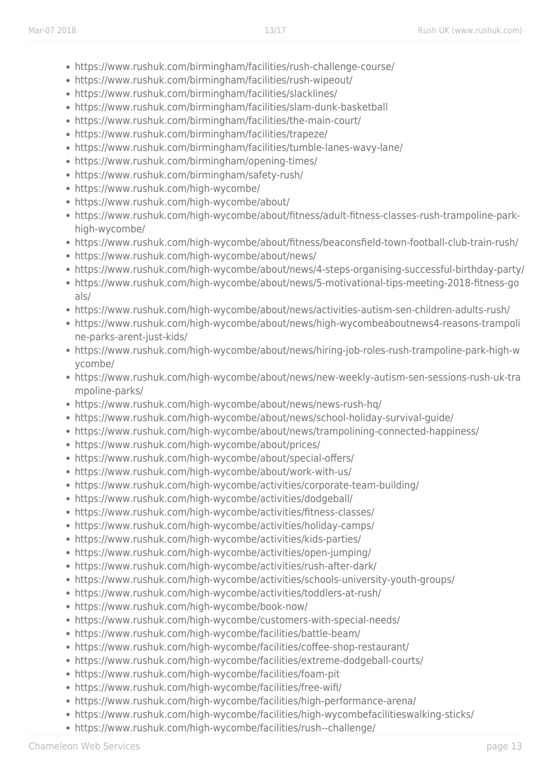- https://www.rushuk.com/birmingham/facilities/rush-challenge-course/
- https://www.rushuk.com/birmingham/facilities/rush-wipeout/
- https://www.rushuk.com/birmingham/facilities/slacklines/
- https://www.rushuk.com/birmingham/facilities/slam-dunk-basketball
- https://www.rushuk.com/birmingham/facilities/the-main-court/
- https://www.rushuk.com/birmingham/facilities/trapeze/
- https://www.rushuk.com/birmingham/facilities/tumble-lanes-wavy-lane/
- https://www.rushuk.com/birmingham/opening-times/
- https://www.rushuk.com/birmingham/safety-rush/
- https://www.rushuk.com/high-wycombe/
- https://www.rushuk.com/high-wycombe/about/
- https://www.rushuk.com/high-wycombe/about/fitness/adult-fitness-classes-rush-trampoline-parkhigh-wycombe/
- https://www.rushuk.com/high-wycombe/about/fitness/beaconsfield-town-football-club-train-rush/
- https://www.rushuk.com/high-wycombe/about/news/
- https://www.rushuk.com/high-wycombe/about/news/4-steps-organising-successful-birthday-party/
- https://www.rushuk.com/high-wycombe/about/news/5-motivational-tips-meeting-2018-fitness-go als/
- https://www.rushuk.com/high-wycombe/about/news/activities-autism-sen-children-adults-rush/
- https://www.rushuk.com/high-wycombe/about/news/high-wycombeaboutnews4-reasons-trampoli ne-parks-arent-just-kids/
- https://www.rushuk.com/high-wycombe/about/news/hiring-job-roles-rush-trampoline-park-high-w ycombe/
- https://www.rushuk.com/high-wycombe/about/news/new-weekly-autism-sen-sessions-rush-uk-tra mpoline-parks/
- https://www.rushuk.com/high-wycombe/about/news/news-rush-hq/
- https://www.rushuk.com/high-wycombe/about/news/school-holiday-survival-guide/
- https://www.rushuk.com/high-wycombe/about/news/trampolining-connected-happiness/
- https://www.rushuk.com/high-wycombe/about/prices/
- https://www.rushuk.com/high-wycombe/about/special-offers/
- https://www.rushuk.com/high-wycombe/about/work-with-us/
- https://www.rushuk.com/high-wycombe/activities/corporate-team-building/
- https://www.rushuk.com/high-wycombe/activities/dodgeball/
- https://www.rushuk.com/high-wycombe/activities/fitness-classes/
- https://www.rushuk.com/high-wycombe/activities/holiday-camps/
- https://www.rushuk.com/high-wycombe/activities/kids-parties/
- https://www.rushuk.com/high-wycombe/activities/open-jumping/
- https://www.rushuk.com/high-wycombe/activities/rush-after-dark/
- https://www.rushuk.com/high-wycombe/activities/schools-university-youth-groups/
- https://www.rushuk.com/high-wycombe/activities/toddlers-at-rush/
- https://www.rushuk.com/high-wycombe/book-now/
- https://www.rushuk.com/high-wycombe/customers-with-special-needs/
- https://www.rushuk.com/high-wycombe/facilities/battle-beam/
- https://www.rushuk.com/high-wycombe/facilities/coffee-shop-restaurant/
- https://www.rushuk.com/high-wycombe/facilities/extreme-dodgeball-courts/
- https://www.rushuk.com/high-wycombe/facilities/foam-pit
- https://www.rushuk.com/high-wycombe/facilities/free-wifi/
- https://www.rushuk.com/high-wycombe/facilities/high-performance-arena/
- https://www.rushuk.com/high-wycombe/facilities/high-wycombefacilitieswalking-sticks/
- https://www.rushuk.com/high-wycombe/facilities/rush--challenge/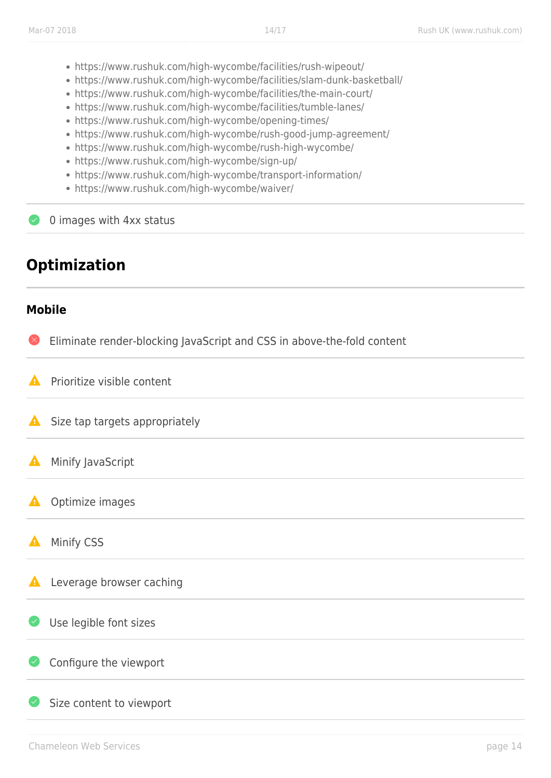- https://www.rushuk.com/high-wycombe/facilities/rush-wipeout/
- https://www.rushuk.com/high-wycombe/facilities/slam-dunk-basketball/
- https://www.rushuk.com/high-wycombe/facilities/the-main-court/
- https://www.rushuk.com/high-wycombe/facilities/tumble-lanes/
- https://www.rushuk.com/high-wycombe/opening-times/
- https://www.rushuk.com/high-wycombe/rush-good-jump-agreement/
- https://www.rushuk.com/high-wycombe/rush-high-wycombe/
- https://www.rushuk.com/high-wycombe/sign-up/
- https://www.rushuk.com/high-wycombe/transport-information/
- https://www.rushuk.com/high-wycombe/waiver/

0 images with 4xx status

# **Optimization**

## **Mobile**

Eliminate render-blocking JavaScript and CSS in above-the-fold content

Prioritize visible content А

- Α Size tap targets appropriately
- Α Minify JavaScript

A Optimize images

 $\blacktriangle$ Minify CSS

 $\blacktriangle$ Leverage browser caching

 $\overline{\mathcal{L}}$ Use legible font sizes

## Configure the viewport

Size content to viewport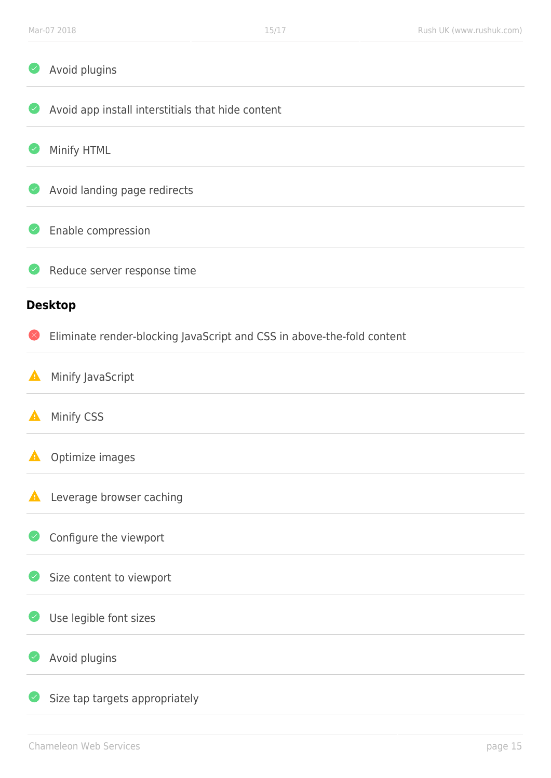| Avoid plugins                                                          |
|------------------------------------------------------------------------|
| Avoid app install interstitials that hide content                      |
| Minify HTML                                                            |
| Avoid landing page redirects                                           |
| Enable compression                                                     |
| Reduce server response time                                            |
| <b>Desktop</b>                                                         |
| Eliminate render-blocking JavaScript and CSS in above-the-fold content |
| Minify JavaScript                                                      |
| Minify CSS                                                             |
| Optimize images                                                        |
| Leverage browser caching                                               |
| Configure the viewport                                                 |
| Size content to viewport                                               |
| Use legible font sizes                                                 |
| Avoid plugins                                                          |
| Size tap targets appropriately                                         |
|                                                                        |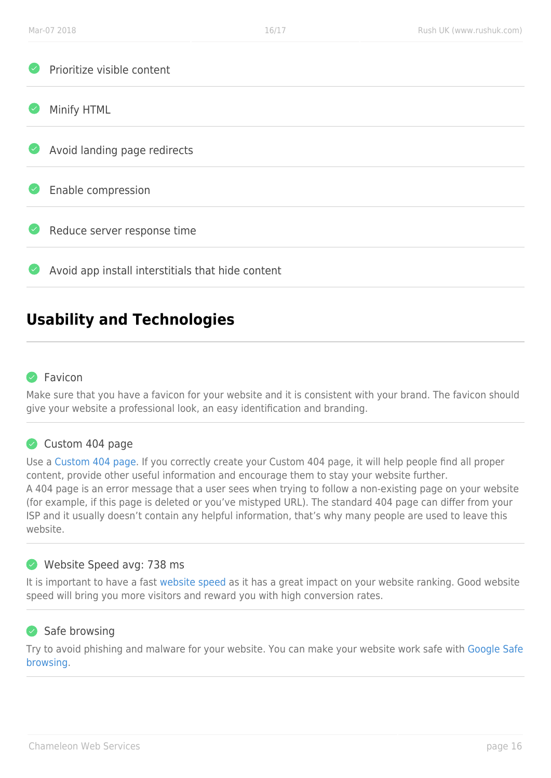| $\sim$                            | Prioritize visible content                        |
|-----------------------------------|---------------------------------------------------|
| $(\checkmark)$                    | Minify HTML                                       |
| $\bullet$                         | Avoid landing page redirects                      |
| $\left( \bigtriangledown \right)$ | Enable compression                                |
| $\bullet$                         | Reduce server response time                       |
| $(\checkmark)$                    | Avoid app install interstitials that hide content |
|                                   |                                                   |

# **Usability and Technologies**

#### **P** Favicon

Make sure that you have a favicon for your website and it is consistent with your brand. The favicon should give your website a professional look, an easy identification and branding.

#### Custom 404 page

Use a [Custom 404 page.](https://support.google.com/webmasters/answer/93641?hl=en) If you correctly create your Custom 404 page, it will help people find all proper content, provide other useful information and encourage them to stay your website further. A 404 page is an error message that a user sees when trying to follow a non-existing page on your website (for example, if this page is deleted or you've mistyped URL). The standard 404 page can differ from your ISP and it usually doesn't contain any helpful information, that's why many people are used to leave this website.

#### Website Speed avg: 738 ms

It is important to have a fast [website speed](https://developers.google.com/speed/docs/insights/rules) as it has a great impact on your website ranking. Good website speed will bring you more visitors and reward you with high conversion rates.

#### Safe browsing

Try to avoid phishing and malware for your website. You can make your website work safe with [Google Safe](https://developers.google.com/safe-browsing/) [browsing](https://developers.google.com/safe-browsing/).